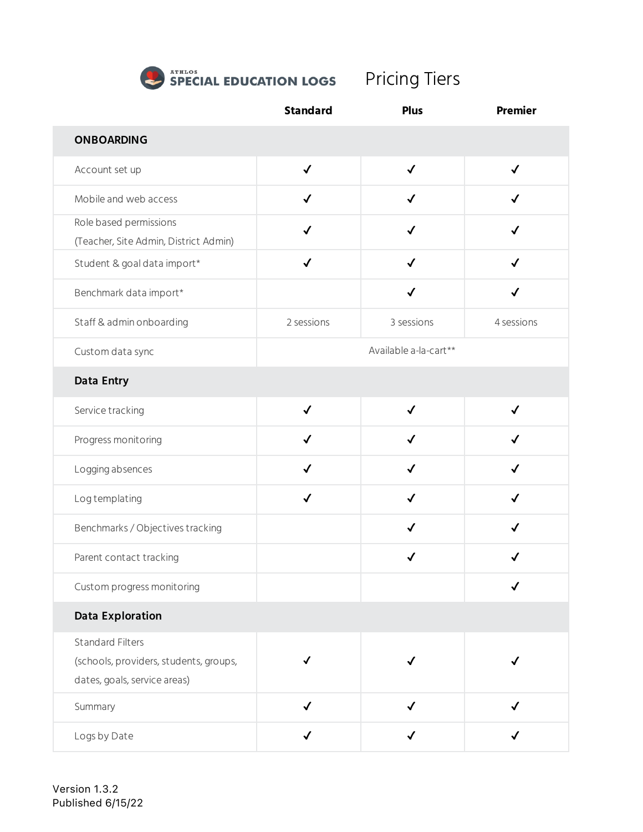

|                                                                                                   | <b>Standard</b>       | <b>Plus</b>  | <b>Premier</b>   |
|---------------------------------------------------------------------------------------------------|-----------------------|--------------|------------------|
| <b>ONBOARDING</b>                                                                                 |                       |              |                  |
| Account set up                                                                                    | $\checkmark$          | $\checkmark$ | $\checkmark$     |
| Mobile and web access                                                                             | $\checkmark$          | $\checkmark$ | $\checkmark$     |
| Role based permissions<br>(Teacher, Site Admin, District Admin)                                   | $\checkmark$          | $\checkmark$ | √                |
| Student & goal data import*                                                                       | $\checkmark$          | $\checkmark$ | $\checkmark$     |
| Benchmark data import*                                                                            |                       | $\checkmark$ | √                |
| Staff & admin onboarding                                                                          | 2 sessions            | 3 sessions   | 4 sessions       |
| Custom data sync                                                                                  | Available a-la-cart** |              |                  |
| Data Entry                                                                                        |                       |              |                  |
| Service tracking                                                                                  | $\checkmark$          | $\checkmark$ | $\checkmark$     |
| Progress monitoring                                                                               | $\checkmark$          | $\checkmark$ | $\boldsymbol{J}$ |
| Logging absences                                                                                  | $\checkmark$          | √            | ✓                |
| Log templating                                                                                    | $\checkmark$          | $\checkmark$ | $\checkmark$     |
| Benchmarks / Objectives tracking                                                                  |                       | $\checkmark$ | $\checkmark$     |
| Parent contact tracking                                                                           |                       | ✓            | ✓                |
| Custom progress monitoring                                                                        |                       |              |                  |
| <b>Data Exploration</b>                                                                           |                       |              |                  |
| <b>Standard Filters</b><br>(schools, providers, students, groups,<br>dates, goals, service areas) | $\checkmark$          | ✓            | ✓                |
| Summary                                                                                           | $\checkmark$          | $\checkmark$ |                  |
| Logs by Date                                                                                      | $\checkmark$          | $\checkmark$ | $\checkmark$     |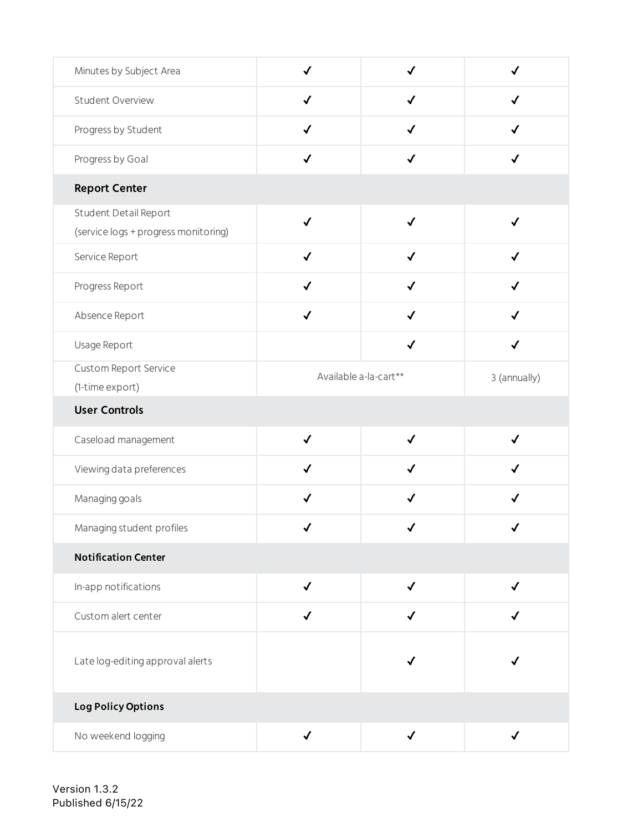| Minutes by Subject Area              | √                     |              | √                |  |  |
|--------------------------------------|-----------------------|--------------|------------------|--|--|
| Student Overview                     | $\checkmark$          | $\checkmark$ | $\checkmark$     |  |  |
| Progress by Student                  | $\checkmark$          | $\checkmark$ | $\checkmark$     |  |  |
| Progress by Goal                     | $\checkmark$          | $\checkmark$ | $\checkmark$     |  |  |
| <b>Report Center</b>                 |                       |              |                  |  |  |
| Student Detail Report                | $\checkmark$          | $\checkmark$ | $\checkmark$     |  |  |
| (service logs + progress monitoring) |                       |              |                  |  |  |
| Service Report                       | $\checkmark$          | $\checkmark$ | $\checkmark$     |  |  |
| Progress Report                      | $\checkmark$          | $\checkmark$ | $\checkmark$     |  |  |
| Absence Report                       | $\checkmark$          | $\checkmark$ | $\checkmark$     |  |  |
| Usage Report                         |                       | $\checkmark$ | $\checkmark$     |  |  |
| Custom Report Service                | Available a-la-cart** |              | 3 (annually)     |  |  |
| (1-time export)                      |                       |              |                  |  |  |
| <b>User Controls</b>                 |                       |              |                  |  |  |
| Caseload management                  | $\checkmark$          | $\checkmark$ | $\checkmark$     |  |  |
| Viewing data preferences             | $\checkmark$          | √            | ✓                |  |  |
| Managing goals                       | $\checkmark$          | $\checkmark$ | $\checkmark$     |  |  |
| Managing student profiles            | J                     | J            | $\boldsymbol{I}$ |  |  |
| <b>Notification Center</b>           |                       |              |                  |  |  |
| In-app notifications                 | $\checkmark$          | $\checkmark$ | $\checkmark$     |  |  |
| Custom alert center                  | $\checkmark$          | ✓            | √                |  |  |
| Late log-editing approval alerts     |                       | $\checkmark$ | √                |  |  |
| <b>Log Policy Options</b>            |                       |              |                  |  |  |
| No weekend logging                   | $\checkmark$          | $\checkmark$ | $\checkmark$     |  |  |

Version 1.3.2 Published 6/15/22